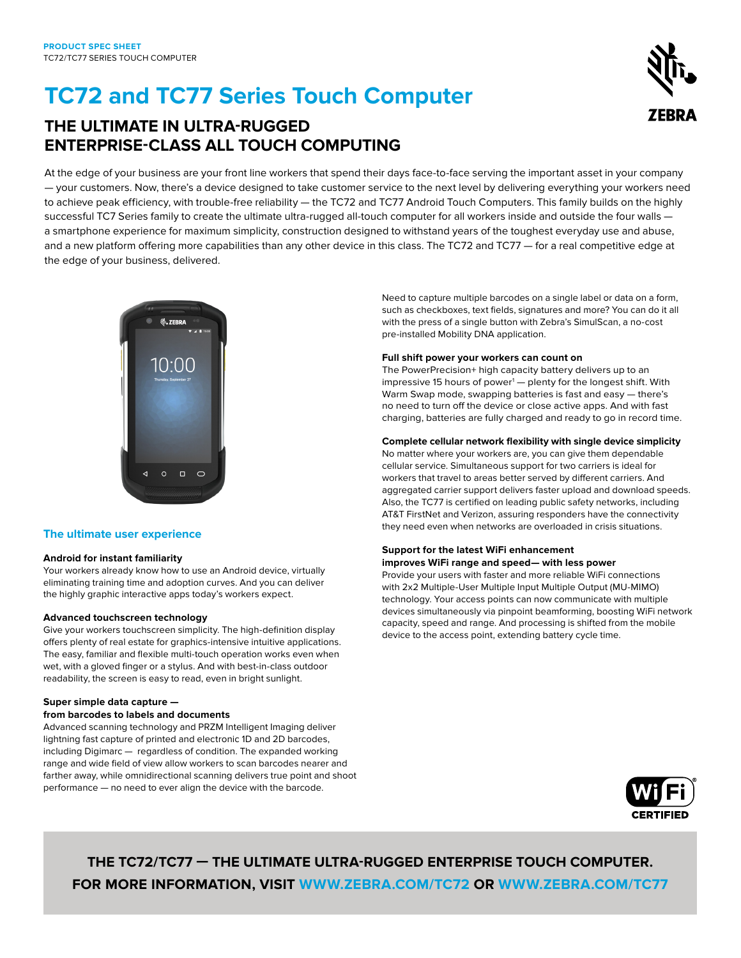# **TC72 and TC77 Series Touch Computer**

# **THE ULTIMATE IN ULTRA-RUGGED ENTERPRISE-CLASS ALL TOUCH COMPUTING**

At the edge of your business are your front line workers that spend their days face-to-face serving the important asset in your company — your customers. Now, there's a device designed to take customer service to the next level by delivering everything your workers need to achieve peak efficiency, with trouble-free reliability — the TC72 and TC77 Android Touch Computers. This family builds on the highly successful TC7 Series family to create the ultimate ultra-rugged all-touch computer for all workers inside and outside the four walls a smartphone experience for maximum simplicity, construction designed to withstand years of the toughest everyday use and abuse, and a new platform offering more capabilities than any other device in this class. The TC72 and TC77 - for a real competitive edge at the edge of your business, delivered.



# **The ultimate user experience**

#### **Android for instant familiarity**

Your workers already know how to use an Android device, virtually eliminating training time and adoption curves. And you can deliver the highly graphic interactive apps today's workers expect.

#### **Advanced touchscreen technology**

Give your workers touchscreen simplicity. The high-definition display offers plenty of real estate for graphics-intensive intuitive applications. The easy, familiar and flexible multi-touch operation works even when wet, with a gloved finger or a stylus. And with best-in-class outdoor readability, the screen is easy to read, even in bright sunlight.

# **Super simple data capture —**

### **from barcodes to labels and documents**

Advanced scanning technology and PRZM Intelligent Imaging deliver lightning fast capture of printed and electronic 1D and 2D barcodes, including Digimarc — regardless of condition. The expanded working range and wide field of view allow workers to scan barcodes nearer and farther away, while omnidirectional scanning delivers true point and shoot performance — no need to ever align the device with the barcode.

Need to capture multiple barcodes on a single label or data on a form, such as checkboxes, text fields, signatures and more? You can do it all with the press of a single button with Zebra's SimulScan, a no-cost pre-installed Mobility DNA application.

## **Full shift power your workers can count on**

The PowerPrecision+ high capacity battery delivers up to an impressive 15 hours of power<sup>1</sup> — plenty for the longest shift. With Warm Swap mode, swapping batteries is fast and easy — there's no need to turn off the device or close active apps. And with fast charging, batteries are fully charged and ready to go in record time.

# **Complete cellular network flexibility with single device simplicity**

No matter where your workers are, you can give them dependable cellular service. Simultaneous support for two carriers is ideal for workers that travel to areas better served by different carriers. And aggregated carrier support delivers faster upload and download speeds. Also, the TC77 is certified on leading public safety networks, including AT&T FirstNet and Verizon, assuring responders have the connectivity they need even when networks are overloaded in crisis situations.

#### **Support for the latest WiFi enhancement improves WiFi range and speed— with less power**

Provide your users with faster and more reliable WiFi connections with 2x2 Multiple-User Multiple Input Multiple Output (MU-MIMO) technology. Your access points can now communicate with multiple devices simultaneously via pinpoint beamforming, boosting WiFi network capacity, speed and range. And processing is shifted from the mobile device to the access point, extending battery cycle time.



# **THE TC72/TC77 — THE ULTIMATE ULTRA-RUGGED ENTERPRISE TOUCH COMPUTER. FOR MORE INFORMATION, VISIT [WWW.ZEBRA.COM/TC72](http://www.zebra.com/tc72) OR [WWW.ZEBRA.COM/TC77](http://www.zebra.com/tc77)**

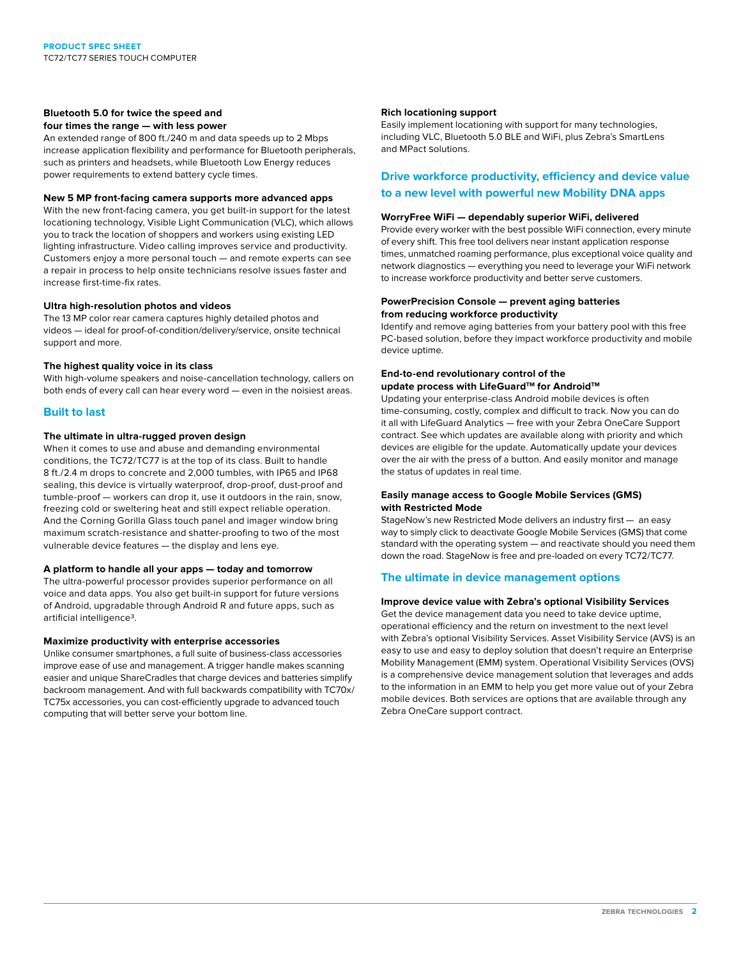#### **Bluetooth 5.0 for twice the speed and four times the range — with less power**

An extended range of 800 ft./240 m and data speeds up to 2 Mbps increase application flexibility and performance for Bluetooth peripherals, such as printers and headsets, while Bluetooth Low Energy reduces power requirements to extend battery cycle times.

#### **New 5 MP front-facing camera supports more advanced apps**

With the new front-facing camera, you get built-in support for the latest locationing technology, Visible Light Communication (VLC), which allows you to track the location of shoppers and workers using existing LED lighting infrastructure. Video calling improves service and productivity. Customers enjoy a more personal touch — and remote experts can see a repair in process to help onsite technicians resolve issues faster and increase first-time-fix rates.

#### **Ultra high-resolution photos and videos**

The 13 MP color rear camera captures highly detailed photos and videos — ideal for proof-of-condition/delivery/service, onsite technical support and more.

#### **The highest quality voice in its class**

With high-volume speakers and noise-cancellation technology, callers on both ends of every call can hear every word — even in the noisiest areas.

#### **Built to last**

#### **The ultimate in ultra-rugged proven design**

When it comes to use and abuse and demanding environmental conditions, the TC72/TC77 is at the top of its class. Built to handle 8 ft./2.4 m drops to concrete and 2,000 tumbles, with IP65 and IP68 sealing, this device is virtually waterproof, drop-proof, dust-proof and tumble-proof — workers can drop it, use it outdoors in the rain, snow, freezing cold or sweltering heat and still expect reliable operation. And the Corning Gorilla Glass touch panel and imager window bring maximum scratch-resistance and shatter-proofing to two of the most vulnerable device features — the display and lens eye.

#### **A platform to handle all your apps — today and tomorrow**

The ultra-powerful processor provides superior performance on all voice and data apps. You also get built-in support for future versions of Android, upgradable through Android R and future apps, such as artificial intelligence3.

#### **Maximize productivity with enterprise accessories**

Unlike consumer smartphones, a full suite of business-class accessories improve ease of use and management. A trigger handle makes scanning easier and unique ShareCradles that charge devices and batteries simplify backroom management. And with full backwards compatibility with TC70x/ TC75x accessories, you can cost-efficiently upgrade to advanced touch computing that will better serve your bottom line.

#### **Rich locationing support**

Easily implement locationing with support for many technologies, including VLC, Bluetooth 5.0 BLE and WiFi, plus Zebra's SmartLens and MPact Solutions.

# **Drive workforce productivity, efficiency and device value to a new level with powerful new Mobility DNA apps**

#### **WorryFree WiFi — dependably superior WiFi, delivered**

Provide every worker with the best possible WiFi connection, every minute of every shift. This free tool delivers near instant application response times, unmatched roaming performance, plus exceptional voice quality and network diagnostics — everything you need to leverage your WiFi network to increase workforce productivity and better serve customers.

#### **PowerPrecision Console — prevent aging batteries from reducing workforce productivity**

Identify and remove aging batteries from your battery pool with this free PC-based solution, before they impact workforce productivity and mobile device uptime.

# **End-to-end revolutionary control of the**  update process with LifeGuard<sup>™</sup> for Android™

Updating your enterprise-class Android mobile devices is often time-consuming, costly, complex and difficult to track. Now you can do it all with LifeGuard Analytics — free with your Zebra OneCare Support contract. See which updates are available along with priority and which devices are eligible for the update. Automatically update your devices over the air with the press of a button. And easily monitor and manage the status of updates in real time.

#### **Easily manage access to Google Mobile Services (GMS) with Restricted Mode**

StageNow's new Restricted Mode delivers an industry first — an easy way to simply click to deactivate Google Mobile Services (GMS) that come standard with the operating system — and reactivate should you need them down the road. StageNow is free and pre-loaded on every TC72/TC77.

### **The ultimate in device management options**

#### **Improve device value with Zebra's optional Visibility Services**

Get the device management data you need to take device uptime, operational efficiency and the return on investment to the next level with Zebra's optional Visibility Services. Asset Visibility Service (AVS) is an easy to use and easy to deploy solution that doesn't require an Enterprise Mobility Management (EMM) system. Operational Visibility Services (OVS) is a comprehensive device management solution that leverages and adds to the information in an EMM to help you get more value out of your Zebra mobile devices. Both services are options that are available through any Zebra OneCare support contract.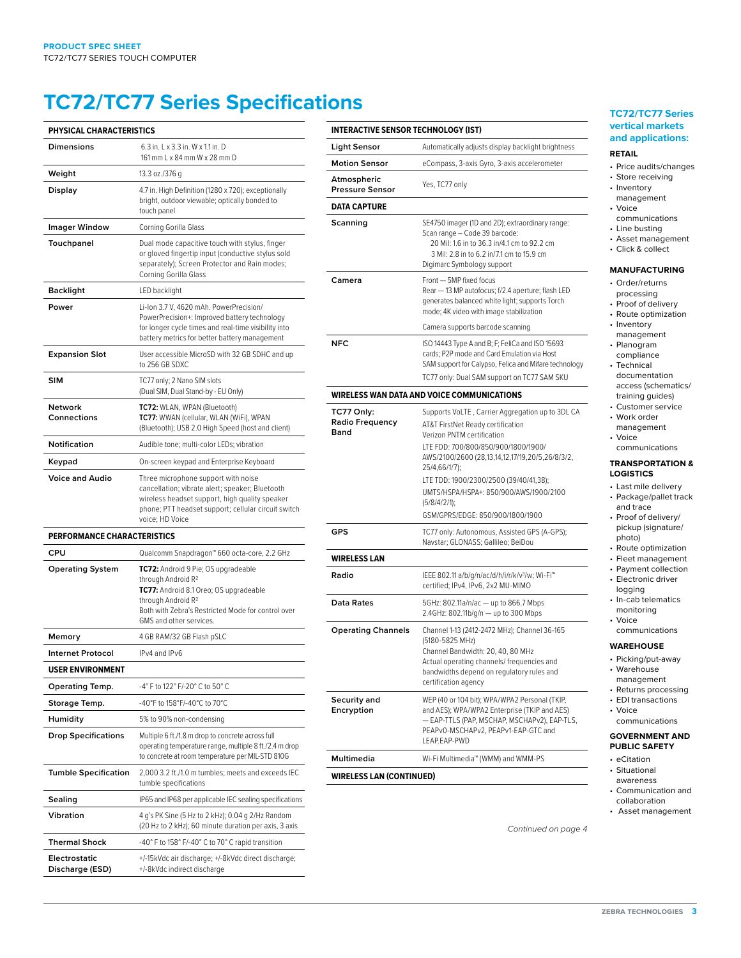# **TC72/TC77 Series Specifications**

| PHYSICAL CHARACTERISTICS           |                                                                                                                                                                                                                                    |  |
|------------------------------------|------------------------------------------------------------------------------------------------------------------------------------------------------------------------------------------------------------------------------------|--|
| <b>Dimensions</b>                  | 6.3 in. L x 3.3 in. W x 1.1 in. D<br>161 mm L x 84 mm W x 28 mm D                                                                                                                                                                  |  |
| Weight                             | 13.3 oz./376 g                                                                                                                                                                                                                     |  |
| Display                            | 4.7 in. High Definition (1280 x 720); exceptionally<br>bright, outdoor viewable; optically bonded to<br>touch panel                                                                                                                |  |
| <b>Imager Window</b>               | Corning Gorilla Glass                                                                                                                                                                                                              |  |
| Touchpanel                         | Dual mode capacitive touch with stylus, finger<br>or gloved fingertip input (conductive stylus sold<br>separately); Screen Protector and Rain modes;<br>Corning Gorilla Glass                                                      |  |
| <b>Backlight</b>                   | LED backlight                                                                                                                                                                                                                      |  |
| Power                              | Li-Ion 3.7 V, 4620 mAh. PowerPrecision/<br>PowerPrecision+: Improved battery technology<br>for longer cycle times and real-time visibility into<br>battery metrics for better battery management                                   |  |
| <b>Expansion Slot</b>              | User accessible MicroSD with 32 GB SDHC and up<br>to 256 GB SDXC                                                                                                                                                                   |  |
| <b>SIM</b>                         | TC77 only; 2 Nano SIM slots<br>(Dual SIM, Dual Stand-by - EU Only)                                                                                                                                                                 |  |
| Network<br>Connections             | TC72: WLAN, WPAN (Bluetooth)<br>TC77: WWAN (cellular, WLAN (WiFi), WPAN<br>(Bluetooth); USB 2.0 High Speed (host and client)                                                                                                       |  |
| <b>Notification</b>                | Audible tone; multi-color LEDs; vibration                                                                                                                                                                                          |  |
| Keypad                             | On-screen keypad and Enterprise Keyboard                                                                                                                                                                                           |  |
| <b>Voice and Audio</b>             | Three microphone support with noise<br>cancellation; vibrate alert; speaker; Bluetooth<br>wireless headset support, high quality speaker<br>phone; PTT headset support; cellular circuit switch<br>voice; HD Voice                 |  |
| <b>PERFORMANCE CHARACTERISTICS</b> |                                                                                                                                                                                                                                    |  |
| CPU                                | Qualcomm Snapdragon™ 660 octa-core, 2.2 GHz                                                                                                                                                                                        |  |
| <b>Operating System</b>            | TC72: Android 9 Pie; OS upgradeable<br>through Android R <sup>2</sup><br>TC77: Android 8.1 Oreo; OS upgradeable<br>through Android R <sup>2</sup><br>Both with Zebra's Restricted Mode for control over<br>GMS and other services. |  |
| Memory                             | 4 GB RAM/32 GB Flash pSLC                                                                                                                                                                                                          |  |
| <b>Internet Protocol</b>           | IPv4 and IPv6                                                                                                                                                                                                                      |  |
| <b>USER ENVIRONMENT</b>            |                                                                                                                                                                                                                                    |  |
| Operating Temp.                    | -4° F to 122° F/-20° C to 50° C                                                                                                                                                                                                    |  |
| Storage Temp.                      | -40°F to 158°F/-40°C to 70°C                                                                                                                                                                                                       |  |
| Humidity                           | 5% to 90% non-condensing                                                                                                                                                                                                           |  |
| <b>Drop Specifications</b>         | Multiple 6 ft./1.8 m drop to concrete across full<br>operating temperature range, multiple 8 ft./2.4 m drop<br>to concrete at room temperature per MIL-STD 810G                                                                    |  |
| <b>Tumble Specification</b>        | 2,000 3.2 ft./1.0 m tumbles; meets and exceeds IEC<br>tumble specifications                                                                                                                                                        |  |
| Sealing                            | IP65 and IP68 per applicable IEC sealing specifications                                                                                                                                                                            |  |
| Vibration                          | 4 g's PK Sine (5 Hz to 2 kHz); 0.04 g 2/Hz Random<br>(20 Hz to 2 kHz); 60 minute duration per axis, 3 axis                                                                                                                         |  |
| <b>Thermal Shock</b>               | -40° F to 158° F/-40° C to 70° C rapid transition                                                                                                                                                                                  |  |
| Electrostatic<br>Discharge (ESD)   | +/-15kVdc air discharge; +/-8kVdc direct discharge;<br>+/-8kVdc indirect discharge                                                                                                                                                 |  |

| <b>INTERACTIVE SENSOR TECHNOLOGY (IST)</b>   |                                                                                                                                                                                                                                                                                                                    |  |
|----------------------------------------------|--------------------------------------------------------------------------------------------------------------------------------------------------------------------------------------------------------------------------------------------------------------------------------------------------------------------|--|
| <b>Light Sensor</b>                          | Automatically adjusts display backlight brightness                                                                                                                                                                                                                                                                 |  |
| <b>Motion Sensor</b>                         | eCompass, 3-axis Gyro, 3-axis accelerometer                                                                                                                                                                                                                                                                        |  |
| Atmospheric<br><b>Pressure Sensor</b>        | Yes, TC77 only                                                                                                                                                                                                                                                                                                     |  |
| <b>DATA CAPTURE</b>                          |                                                                                                                                                                                                                                                                                                                    |  |
| Scanning                                     | SE4750 imager (1D and 2D); extraordinary range:<br>Scan range - Code 39 barcode:<br>20 Mil: 1.6 in to 36.3 in/4.1 cm to 92.2 cm<br>3 Mil: 2.8 in to 6.2 in/7.1 cm to 15.9 cm<br>Digimarc Symbology support                                                                                                         |  |
| Camera                                       | Front - 5MP fixed focus<br>Rear - 13 MP autofocus; f/2.4 aperture; flash LED<br>generates balanced white light; supports Torch<br>mode; 4K video with image stabilization                                                                                                                                          |  |
|                                              | Camera supports barcode scanning                                                                                                                                                                                                                                                                                   |  |
| <b>NFC</b>                                   | ISO 14443 Type A and B; F; FeliCa and ISO 15693<br>cards; P2P mode and Card Emulation via Host<br>SAM support for Calypso, Felica and Mifare technology<br>TC77 only: Dual SAM support on TC77 SAM SKU                                                                                                             |  |
| WIRELESS WAN DATA AND VOICE COMMUNICATIONS   |                                                                                                                                                                                                                                                                                                                    |  |
| TC77 Only:<br><b>Radio Frequency</b><br>Band | Supports VoLTE, Carrier Aggregation up to 3DL CA<br>AT&T FirstNet Ready certification<br>Verizon PNTM certification<br>LTE FDD: 700/800/850/900/1800/1900/<br>AWS/2100/2600 (28,13,14,12,17/19,20/5,26/8/3/2,<br>25/4,66/1/7);<br>LTE TDD: 1900/2300/2500 (39/40/41,38);<br>UMTS/HSPA/HSPA+: 850/900/AWS/1900/2100 |  |
|                                              | (5/8/4/2/1);<br>GSM/GPRS/EDGE: 850/900/1800/1900                                                                                                                                                                                                                                                                   |  |
| <b>GPS</b>                                   | TC77 only: Autonomous, Assisted GPS (A-GPS);<br>Navstar; GLONASS; Gallileo; BeiDou                                                                                                                                                                                                                                 |  |
| <b>WIRELESS LAN</b>                          |                                                                                                                                                                                                                                                                                                                    |  |
| Radio                                        | IEEE 802.11 a/b/g/n/ac/d/h/i/r/k/v <sup>3</sup> /w; Wi-Fi <sup>™</sup><br>certified; IPv4, IPv6, 2x2 MU-MIMO                                                                                                                                                                                                       |  |
| Data Rates                                   | 5GHz: 802.11a/n/ac - up to 866.7 Mbps<br>2.4GHz: 802.11b/g/n - up to 300 Mbps                                                                                                                                                                                                                                      |  |
| <b>Operating Channels</b>                    | Channel 1-13 (2412-2472 MHz); Channel 36-165<br>(5180-5825 MHz)<br>Channel Bandwidth: 20, 40, 80 MHz<br>Actual operating channels/ frequencies and<br>bandwidths depend on regulatory rules and<br>certification agency                                                                                            |  |
| Security and<br>Encryption                   | WEP (40 or 104 bit); WPA/WPA2 Personal (TKIP,<br>and AES); WPA/WPA2 Enterprise (TKIP and AES)<br>- EAP-TTLS (PAP, MSCHAP, MSCHAPv2), EAP-TLS,<br>PEAPv0-MSCHAPv2, PEAPv1-EAP-GTC and<br>LEAP.EAP-PWD                                                                                                               |  |
| Multimedia                                   | Wi-Fi Multimedia™ (WMM) and WMM-PS                                                                                                                                                                                                                                                                                 |  |
| <b>WIRELESS LAN (CONTINUED)</b>              |                                                                                                                                                                                                                                                                                                                    |  |
|                                              |                                                                                                                                                                                                                                                                                                                    |  |

### **TC72/TC77 Series vertical markets and applications:**

#### **RETAIL**

- <sup>9</sup>rice audits/changes
- Store receiving nventory
	- management
	- /oice
	- communications • Line busting
	- sset management
	- Click & collect

## **MANUFACTURING**

- Order/returns processing
- Proof of delivery
- Route optimization
- nventory management
- Planogram
- compliance Fechnical documentation
- access (schematics/ raining guides) • Customer service
- Work order
- management /oice
- communications

#### **TRANSPORTATION & LOGISTICS**

- Last mile delivery <sup>2</sup>ackage/pallet track
- and trace Proof of delivery/
- pickup (signature/ photo)
- Route optimization • Fleet management
- <sup>2</sup>ayment collection
- **Electronic driver** ogging
- n-cab telematics monitoring
- Voice communications

# **WAREHOUSE**

- 
- Picking/put-away • Warehouse
- management
- Returns processing • EDI transactions
- Voice
- communications

#### **GOVERNMENT AND PBLIC SAFETY**

- eCitation
- **Situational**
- awareness
- Communication and collaboration
- Asset management

*Continued on page 4*